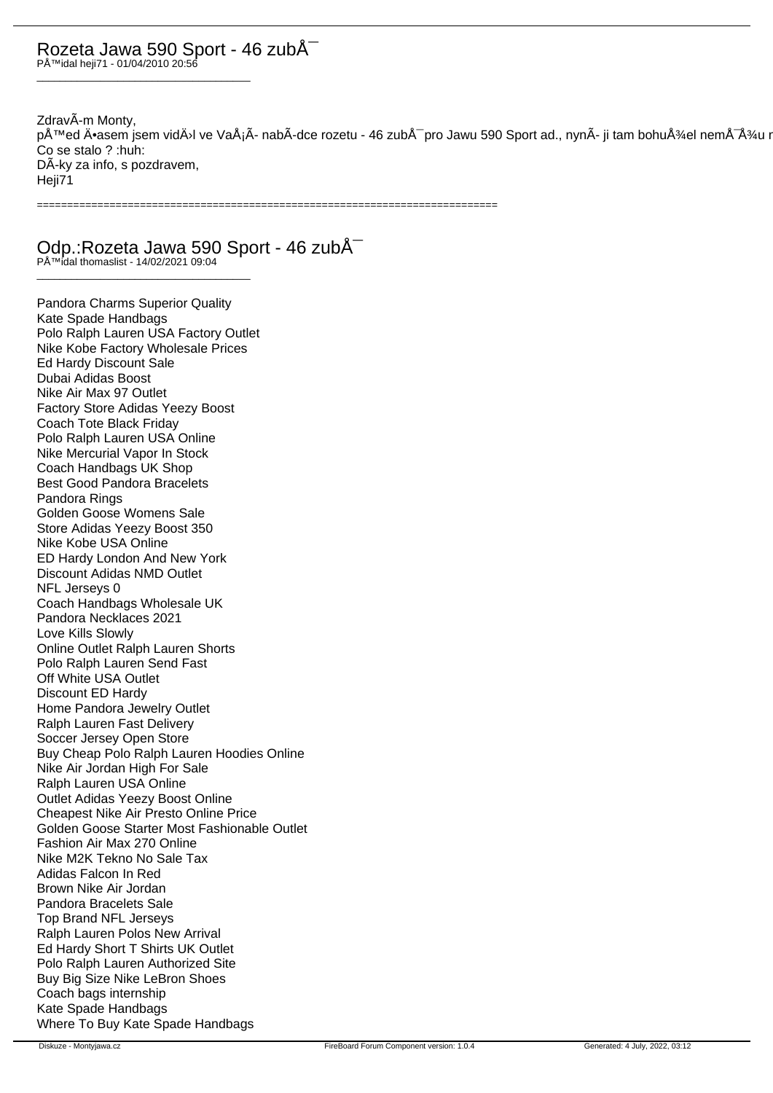## Rozeta Jawa 590 Sport - 46 zubů Přidal heji71 - 01/04/2010 20:56

\_\_\_\_\_\_\_\_\_\_\_\_\_\_\_\_\_\_\_\_\_\_\_\_\_\_\_\_\_\_\_\_\_\_\_\_\_

ZdravÃ-m Monty, před Ä•asem jsem vidÄ›l ve VaÅ¡Ã- nabÃ-dce rozetu - 46 zubÅ<sup>-</sup> pro Jawu 590 Sport ad., nynÃ- ji tam bohužel nemÅ<sup>-</sup>žu n Co se stalo ? :huh: DÃ-ky za info, s pozdravem, Heji71

============================================================================

Odp.: Rozeta Jawa 590 Sport - 46 zubÅ<sup>-</sup>

Přidal thomaslist - 14/02/2021 09:04 \_\_\_\_\_\_\_\_\_\_\_\_\_\_\_\_\_\_\_\_\_\_\_\_\_\_\_\_\_\_\_\_\_\_\_\_\_

Pandora Charms Superior Quality Kate Spade Handbags Polo Ralph Lauren USA Factory Outlet Nike Kobe Factory Wholesale Prices Ed Hardy Discount Sale Dubai Adidas Boost Nike Air Max 97 Outlet Factory Store Adidas Yeezy Boost Coach Tote Black Friday Polo Ralph Lauren USA Online Nike Mercurial Vapor In Stock Coach Handbags UK Shop Best Good Pandora Bracelets Pandora Rings Golden Goose Womens Sale Store Adidas Yeezy Boost 350 Nike Kobe USA Online ED Hardy London And New York Discount Adidas NMD Outlet NFL Jerseys 0 Coach Handbags Wholesale UK Pandora Necklaces 2021 Love Kills Slowly Online Outlet Ralph Lauren Shorts Polo Ralph Lauren Send Fast Off White USA Outlet Discount ED Hardy Home Pandora Jewelry Outlet Ralph Lauren Fast Delivery Soccer Jersey Open Store Buy Cheap Polo Ralph Lauren Hoodies Online Nike Air Jordan High For Sale Ralph Lauren USA Online Outlet Adidas Yeezy Boost Online Cheapest Nike Air Presto Online Price Golden Goose Starter Most Fashionable Outlet Fashion Air Max 270 Online Nike M2K Tekno No Sale Tax Adidas Falcon In Red Brown Nike Air Jordan Pandora Bracelets Sale Top Brand NFL Jerseys Ralph Lauren Polos New Arrival Ed Hardy Short T Shirts UK Outlet Polo Ralph Lauren Authorized Site Buy Big Size Nike LeBron Shoes Coach bags internship Kate Spade Handbags Where To Buy Kate Spade Handbags